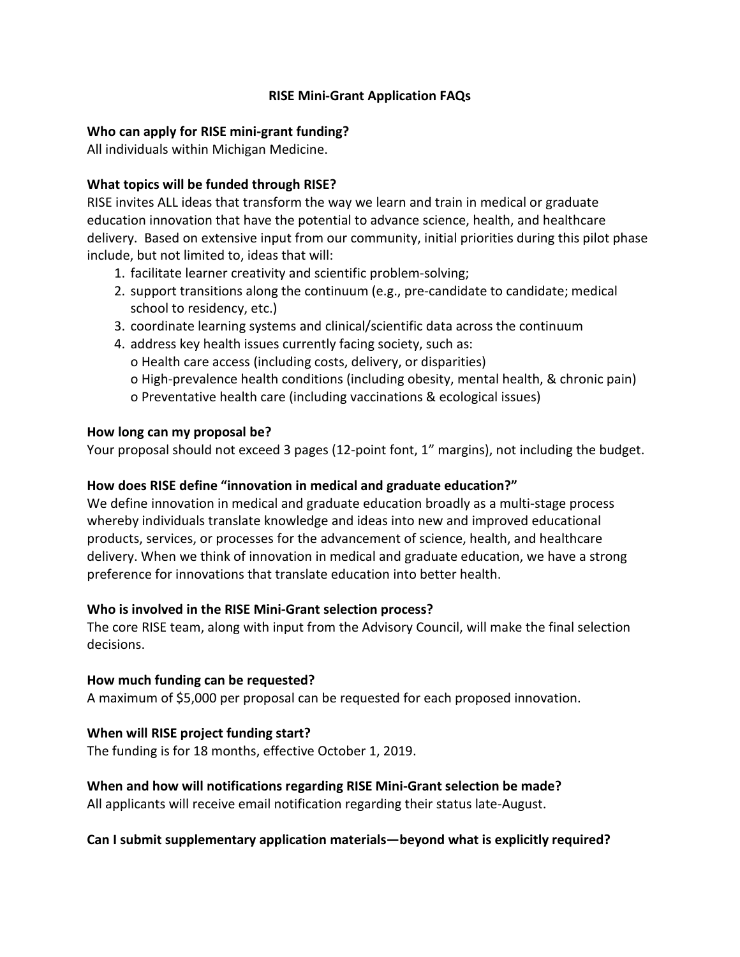### **RISE Mini-Grant Application FAQs**

### **Who can apply for RISE mini-grant funding?**

All individuals within Michigan Medicine.

## **What topics will be funded through RISE?**

RISE invites ALL ideas that transform the way we learn and train in medical or graduate education innovation that have the potential to advance science, health, and healthcare delivery. Based on extensive input from our community, initial priorities during this pilot phase include, but not limited to, ideas that will:

- 1. facilitate learner creativity and scientific problem-solving;
- 2. support transitions along the continuum (e.g., pre-candidate to candidate; medical school to residency, etc.)
- 3. coordinate learning systems and clinical/scientific data across the continuum
- 4. address key health issues currently facing society, such as: o Health care access (including costs, delivery, or disparities) o High-prevalence health conditions (including obesity, mental health, & chronic pain) o Preventative health care (including vaccinations & ecological issues)

### **How long can my proposal be?**

Your proposal should not exceed 3 pages (12-point font, 1" margins), not including the budget.

## **How does RISE define "innovation in medical and graduate education?"**

We define innovation in medical and graduate education broadly as a multi-stage process whereby individuals translate knowledge and ideas into new and improved educational products, services, or processes for the advancement of science, health, and healthcare delivery. When we think of innovation in medical and graduate education, we have a strong preference for innovations that translate education into better health.

## **Who is involved in the RISE Mini-Grant selection process?**

The core RISE team, along with input from the Advisory Council, will make the final selection decisions.

## **How much funding can be requested?**

A maximum of \$5,000 per proposal can be requested for each proposed innovation.

## **When will RISE project funding start?**

The funding is for 18 months, effective October 1, 2019.

## **When and how will notifications regarding RISE Mini-Grant selection be made?**

All applicants will receive email notification regarding their status late-August.

## **Can I submit supplementary application materials—beyond what is explicitly required?**